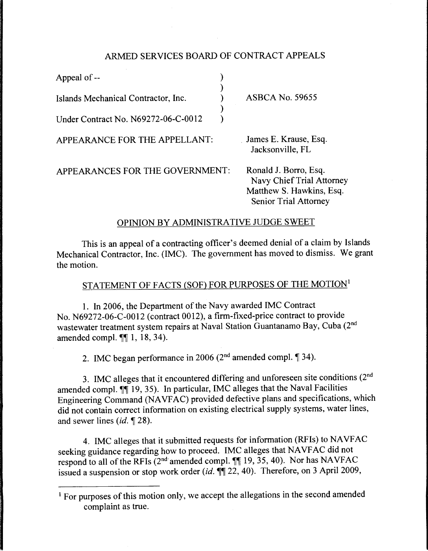### ARMED SERVICES BOARD OF CONTRACT APPEALS

| Appeal of --                        |                        |
|-------------------------------------|------------------------|
| Islands Mechanical Contractor, Inc. | <b>ASBCA No. 59655</b> |
| Under Contract No. N69272-06-C-0012 |                        |

APPEARANCE FOR THE APPELLANT: James E. Krause, Esq.

Jacksonville, FL

APPEARANCES FOR THE GOVERNMENT: Ronald J. Borro, Esq.

Navy Chief Trial Attorney Matthew S. Hawkins, Esq. Senior Trial Attorney

## OPINION BY ADMINISTRATIVE JUDGE SWEET

This is an appeal of a contracting officer's deemed denial of a claim by Islands Mechanical Contractor, Inc. (IMC). The government has moved to dismiss. We grant the motion.

# STATEMENT OF FACTS (SOF) FOR PURPOSES OF THE MOTION<sup>1</sup>

1. In 2006, the Department of the Navy awarded IMC Contract No. N69272-06-C-0012 (contract 0012), a firm-fixed-price contract to provide wastewater treatment system repairs at Naval Station Guantanamo Bay, Cuba (2nd amended compl.  $\P\P$  1, 18, 34).

2. IMC began performance in 2006 ( $2<sup>nd</sup>$  amended compl.  $\P$  34).

3. IMC alleges that it encountered differing and unforeseen site conditions (2nd amended compl.  $\P$ [19, 35). In particular, IMC alleges that the Naval Facilities Engineering Command (NA VF AC) provided defective plans and specifications, which did not contain correct information on existing electrical supply systems, water lines, and sewer lines  $(id, \P 28)$ .

4. IMC alleges that it submitted requests for information (RFIs) to NAVFAC seeking guidance regarding how to proceed. IMC alleges that NAVFAC did not respond to all of the RFIs ( $2<sup>nd</sup>$  amended compl.  $\P$  19, 35, 40). Nor has NAVFAC issued a suspension or stop work order *(id.*  $\P$ ] 22, 40). Therefore, on 3 April 2009,

<sup>&</sup>lt;sup>1</sup> For purposes of this motion only, we accept the allegations in the second amended complaint as true.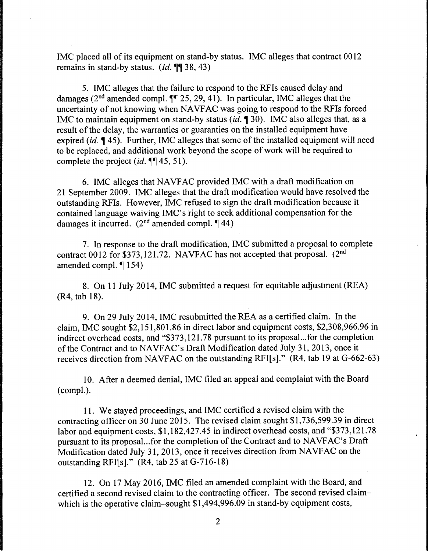IMC placed all of its equipment on stand-by status. IMC alleges that contract 0012 remains in stand-by status. *(Id.* **1** 38, 43)

5. IMC alleges that the failure to respond to the RFis caused delay and damages ( $2<sup>nd</sup>$  amended compl.  $\P\P$  25, 29, 41). In particular, IMC alleges that the uncertainty of not knowing when NAVFAC was going to respond to the RFIs forced IMC to maintain equipment on stand-by status *(id.* 1 30). IMC also alleges that, as a result of the delay, the warranties or guaranties on the installed equipment have expired *(id.* 145). Further, IMC alleges that some of the installed equipment will need to be replaced, and additional work beyond the scope of work will be required to complete the project *(id.*  $\P$ [ 45, 51).

6. IMC alleges that NA VF AC provided IMC with a draft modification on 21 September 2009. IMC alleges that the draft modification would have resolved the outstanding RFis. However, IMC refused to sign the draft modification because it contained language waiving IMC's right to seek additional compensation for the damages it incurred.  $(2^{nd}$  amended compl.  $\P$  44)

7. In response to the draft modification, IMC submitted a proposal to complete contract 0012 for \$373,121.72. NAVFAC has not accepted that proposal. (2<sup>nd</sup> amended compl.  $\P$  154)

8. On 11 July 2014, IMC submitted a request for equitable adjustment (REA) (R4, tab 18).

9. On 29 July 2014, IMC resubmitted the REA as a certified claim. In the claim, IMC sought \$2, 151,801.86 in direct labor and equipment costs, \$2,308,966.96 in indirect overhead costs, and "\$373,121. 78 pursuant to its proposal...for the completion of the Contract and to NA VFAC's Draft Modification dated July 31, 2013, once it receives direction from NAVFAC on the outstanding RFI[s]."  $(R4, tab 19$  at  $G-662-63)$ 

10. After a deemed denial, IMC filed an appeal and complaint with the Board (compl.).

11. We stayed proceedings, and IMC certified a revised claim with the contracting officer on 30 June 2015. The revised claim sought \$1,736,599.39 in direct labor and equipment costs, \$1,182,427.45 in indirect overhead costs, and "\$373,121.78 pursuant to its proposal...for the completion of the Contract and to NA VFAC's Draft Modification dated July 31, 2013, once it receives direction from NAVFAC on the outstanding RFI[s]." (R4, tab 25 at G-716-18)

12. On 17 May 2016, IMC filed an amended complaint with the Board, and certified a second revised claim to the contracting officer. The second revised claimwhich is the operative claim-sought \$1,494,996.09 in stand-by equipment costs,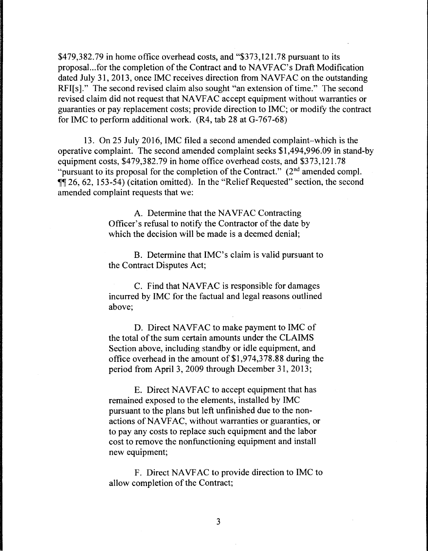\$479,382.79 in home office overhead costs, and "\$373,121.78 pursuant to its proposal...for the completion of the Contract and to NA VFAC's Draft Modification dated July 31, 2013, once IMC receives direction from NAVFAC on the outstanding RFI[s]." The second revised claim also sought "an extension of time." The second revised claim did not request that NA VF AC accept equipment without warranties or guaranties or pay replacement costs; provide direction to IMC; or modify the contract for IMC to perform additional work. (R4, tab 28 at G-767-68)

13. On 25 July 2016, IMC filed a second amended complaint-which is the operative complaint. The second amended complaint seeks \$1,494,996.09 in stand-by equipment costs, \$479,382.79 in home office overhead costs, and \$373,121.78 "pursuant to its proposal for the completion of the Contract."  $(2<sup>nd</sup>$  amended compl.  $\overline{11}$  26, 62, 153-54) (citation omitted). In the "Relief Requested" section, the second amended complaint requests that we:

> A. Determine that the NAVFAC Contracting Officer's refusal to notify the Contractor of the date by which the decision will be made is a deemed denial:

B. Determine that IMC's claim is valid pursuant to the Contract Disputes Act;

C. Find that NAVFAC is responsible for damages incurred by IMC for the factual and legal reasons outlined above;

D. Direct NAVFAC to make payment to IMC of the total of the sum certain amounts under the CLAIMS Section above, including standby or idle equipment, and office overhead in the amount of \$1,974,378.88 during the period from April 3, 2009 through December 31, 2013;

E. Direct NAVFAC to accept equipment that has remained exposed to the elements, installed by IMC pursuant to the plans but left unfinished due to the nonactions of NA VF AC, without warranties or guaranties, or to pay any costs to replace such equipment and the labor cost to remove the nonfunctioning equipment and install new equipment;

F. Direct NAVFAC to provide direction to IMC to allow completion of the Contract;

3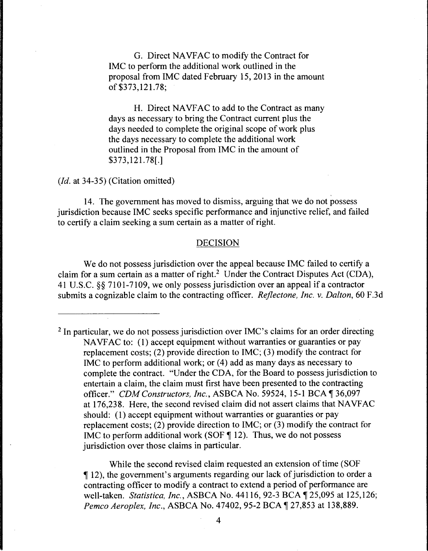G. Direct NA VF AC to modify the Contract for IMC to perform the additional work outlined in the proposal from IMC dated February 15, 2013 in the amount of \$373,121.78;

H. Direct NAVFAC to add to the Contract as many days as necessary to bring the Contract current plus the days needed to complete the original scope of work plus the days necessary to complete the additional work outlined in the Proposal from IMC in the amount of \$373, 121.78[.]

*(Id.* at 34-35) (Citation omitted)

14. The government has moved to dismiss, arguing that we do not possess jurisdiction because IMC seeks specific performance and injunctive relief, and failed to certify a claim seeking a sum certain as a matter of right.

#### DECISION

We do not possess jurisdiction over the appeal because IMC failed to certify a claim for a sum certain as a matter of right.<sup>2</sup> Under the Contract Disputes Act (CDA), 41 U.S.C. §§ 7101-7109, we only possess jurisdiction over an appeal if a contractor submits a cognizable claim to the contracting officer. *Rejlectone, Inc.* v. *Dalton,* 60 F.3d

<sup>2</sup> In particular, we do not possess jurisdiction over IMC's claims for an order directing NAVFAC to: (1) accept equipment without warranties or guaranties or pay replacement costs; (2) provide direction to IMC; (3) modify the contract for IMC to perform additional work; or  $(4)$  add as many days as necessary to complete the contract. "Under the CDA, for the Board to possess jurisdiction to entertain a claim, the claim must first have been presented to the contracting officer." *CDM Constructors, Inc., ASBCA No.* 59524, 15-1 BCA 136,097 at 176,23 8. Here, the second revised claim did not assert claims that NA VF AC should: (1) accept equipment without warranties or guaranties or pay replacement costs; (2) provide direction to IMC; or (3) modify the contract for IMC to perform additional work (SOF  $\P$  12). Thus, we do not possess jurisdiction over those claims in particular.

While the second revised claim requested an extension of time (SOF ii 12 ), the government's arguments regarding our lack of jurisdiction to order a contracting officer to modify a contract to extend a period of performance are well-taken. *Statistica, Inc.*, ASBCA No. 44116, 92-3 BCA 125,095 at 125,126; *Pemco Aeroplex, Inc., ASBCA No. 47402, 95-2 BCA*  $\sqrt{27,853}$  at 138,889.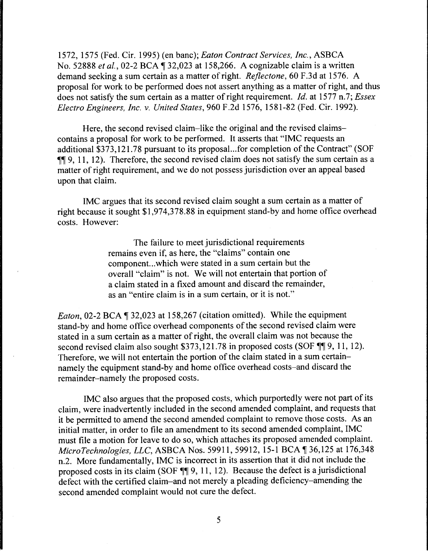1572, 1575 (Fed. Cir. 1995) (en bane); *Eaton Contract Services, Inc.,* ASBCA No. 52888 *et al.*, 02-2 BCA 1 32,023 at 158,266. A cognizable claim is a written demand seeking a sum certain as a matter of right. *Reflectone,* 60 F.3d at 1576. A proposal for work to be performed does not assert anything as a matter of right, and thus does not satisfy the sum certain as a matter of right requirement. *Id.* at 1577 n.7; *Essex Electro Engineers, Inc. v. United States,* 960 F.2d 1576, 1581-82 (Fed. Cir. 1992).

Here, the second revised claim-like the original and the revised claimscontains a proposal for work to be performed. It asserts that "IMC requests an additional \$373,121.78 pursuant to its proposal...for completion of the Contract" (SOF  $\P\P$  9, 11, 12). Therefore, the second revised claim does not satisfy the sum certain as a matter of right requirement, and we do not possess jurisdiction over an appeal based upon that claim.

IMC argues that its second revised claim sought a sum certain as a matter of right because it sought \$1,974,378.88 in equipment stand-by and home office overhead costs. However:

> The failure to meet jurisdictional requirements remains even if, as here, the "claims" contain one component...which were stated in a sum certain but the overall "claim" is not. We will not entertain that portion of a claim stated in a fixed amount and discard the remainder, as an "entire claim is in a sum certain, or it is not."

*Eaton, 02-2 BCA* 132,023 at 158,267 (citation omitted). While the equipment stand-by and home office overhead components of the second revised claim were stated in a sum certain as a matter of right, the overall claim was not because the second revised claim also sought  $$373,121.78$  in proposed costs (SOF  $\P\P$ 9, 11, 12). Therefore, we will not entertain the portion of the claim stated in a sum certainnamely the equipment stand-by and home office overhead costs-and discard the remainder-namely the proposed costs.

IMC also argues that the proposed costs, which purportedly were not part of its claim, were inadvertently included in the second amended complaint, and requests that it be permitted to amend the second amended complaint to remove those costs. As an initial matter, in order to file an amendment to its second amended complaint, IMC must file a motion for leave to do so, which attaches its proposed amended complaint. *MicroTechnologies, LLC, ASBCA Nos. 59911, 59912, 15-1 BCA 136,125 at 176,348* n.2. More fundamentally, IMC is incorrect in its assertion that it did not include the proposed costs in its claim (SOF  $\P\P$ 9, 11, 12). Because the defect is a jurisdictional defect with the certified claim-and not merely a pleading deficiency-amending the second amended complaint would not cure the defect.

5